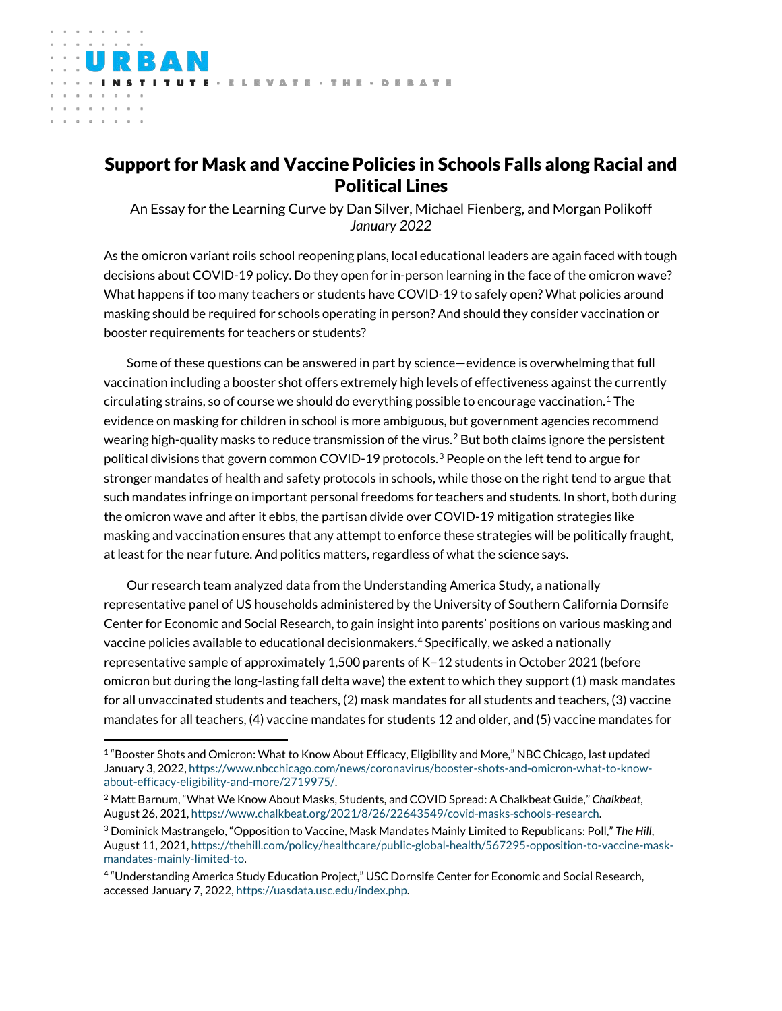# Support for Mask and Vaccine Policies in Schools Falls along Racial and Political Lines

**ITUTE - ELEVATE - THE - DEBATE** 

 $\alpha$  $\alpha$  $\sim$ 

> An Essay for the Learning Curve by Dan Silver, Michael Fienberg, and Morgan Polikoff *January 2022*

As the omicron variant roils school reopening plans, local educational leaders are again faced with tough decisions about COVID-19 policy. Do they open for in-person learning in the face of the omicron wave? What happens if too many teachers or students have COVID-19 to safely open? What policies around masking should be required for schools operating in person? And should they consider vaccination or booster requirements for teachers or students?

Some of these questions can be answered in part by science—evidence is overwhelming that full vaccination including a booster shot offers extremely high levels of effectiveness against the currently circulating strains, so of course we should do everything possible to encourage vaccination.<sup>[1](#page-0-0)</sup> The evidence on masking for children in school is more ambiguous, but government agencies recommend wearing high-quality masks to reduce transmission of the virus.<sup>[2](#page-0-1)</sup> But both claims ignore the persistent political divisions that govern common COVID-19 protocols. $^3$  $^3$  People on the left tend to argue for stronger mandates of health and safety protocols in schools, while those on the right tend to argue that such mandates infringe on important personal freedoms for teachers and students. In short, both during the omicron wave and after it ebbs, the partisan divide over COVID-19 mitigation strategies like masking and vaccination ensures that any attempt to enforce these strategies will be politically fraught, at least for the near future. And politics matters, regardless of what the science says.

Our research team analyzed data from the Understanding America Study, a nationally representative panel of US households administered by the University of Southern California Dornsife Center for Economic and Social Research, to gain insight into parents' positions on various masking and vaccine policies available to educational decisionmakers.[4](#page-0-3) Specifically, we asked a nationally representative sample of approximately 1,500 parents of K–12 students in October 2021 (before omicron but during the long-lasting fall delta wave) the extent to which they support (1) mask mandates for all unvaccinated students and teachers, (2) mask mandates for all students and teachers, (3) vaccine mandates for all teachers, (4) vaccine mandates for students 12 and older, and (5) vaccine mandates for

<span id="page-0-0"></span><sup>&</sup>lt;sup>1</sup> "Booster Shots and Omicron: What to Know About Efficacy, Eligibility and More," NBC Chicago, last updated January 3, 2022[, https://www.nbcchicago.com/news/coronavirus/booster-shots-and-omicron-what-to-know](https://www.nbcchicago.com/news/coronavirus/booster-shots-and-omicron-what-to-know-about-efficacy-eligibility-and-more/2719975/)[about-efficacy-eligibility-and-more/2719975/.](https://www.nbcchicago.com/news/coronavirus/booster-shots-and-omicron-what-to-know-about-efficacy-eligibility-and-more/2719975/)

<span id="page-0-1"></span><sup>2</sup> Matt Barnum, "What We Know About Masks, Students, and COVID Spread: A Chalkbeat Guide," *Chalkbeat*, August 26, 2021[, https://www.chalkbeat.org/2021/8/26/22643549/covid-masks-schools-research.](https://www.chalkbeat.org/2021/8/26/22643549/covid-masks-schools-research)

<span id="page-0-2"></span><sup>3</sup> Dominick Mastrangelo, "Opposition to Vaccine, Mask Mandates Mainly Limited to Republicans: Poll," *The Hill*, August 11, 2021[, https://thehill.com/policy/healthcare/public-global-health/567295-opposition-to-vaccine-mask](https://thehill.com/policy/healthcare/public-global-health/567295-opposition-to-vaccine-mask-mandates-mainly-limited-to)[mandates-mainly-limited-to.](https://thehill.com/policy/healthcare/public-global-health/567295-opposition-to-vaccine-mask-mandates-mainly-limited-to)

<span id="page-0-3"></span><sup>4</sup> "Understanding America Study Education Project," USC Dornsife Center for Economic and Social Research, accessed January 7, 2022[, https://uasdata.usc.edu/index.php.](https://uasdata.usc.edu/index.php)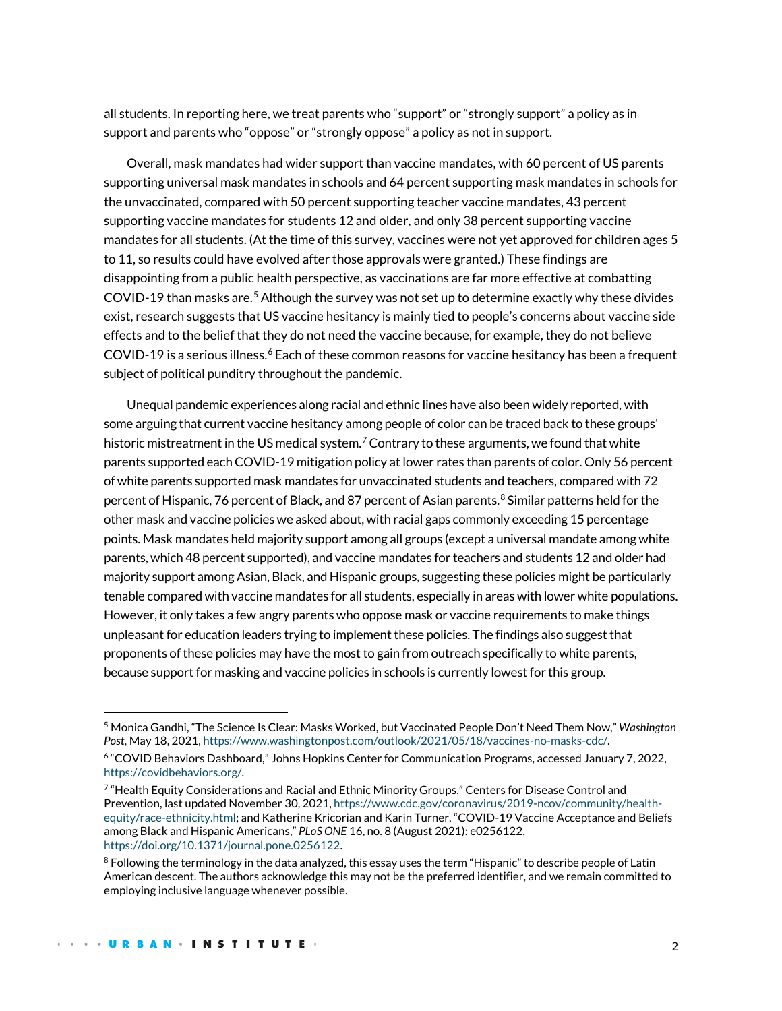all students. In reporting here, we treat parents who "support" or "strongly support" a policy as in support and parents who "oppose" or "strongly oppose" a policy as not in support.

Overall, mask mandates had wider support than vaccine mandates, with 60 percent of US parents supporting universal mask mandates in schools and 64 percent supporting mask mandates in schools for the unvaccinated, compared with 50 percent supporting teacher vaccine mandates, 43 percent supporting vaccine mandates for students 12 and older, and only 38 percent supporting vaccine mandates for all students. (At the time of this survey, vaccines were not yet approved for children ages 5 to 11, so results could have evolved after those approvals were granted.) These findings are disappointing from a public health perspective, as vaccinations are far more effective at combatting COVID-19 than masks are.<sup>[5](#page-1-0)</sup> Although the survey was not set up to determine exactly why these divides exist, research suggests that US vaccine hesitancy is mainly tied to people's concerns about vaccine side effects and to the belief that they do not need the vaccine because, for example, they do not believe COVID-19 is a serious illness.<sup>[6](#page-1-1)</sup> Each of these common reasons for vaccine hesitancy has been a frequent subject of political punditry throughout the pandemic.

Unequal pandemic experiences along racial and ethnic lines have also been widely reported, with some arguing that current vaccine hesitancy among people of color can be traced back to these groups' historic mistreatment in the US medical system.<sup>[7](#page-1-2)</sup> Contrary to these arguments, we found that white parents supported each COVID-19 mitigation policy at lower rates than parents of color. Only 56 percent of white parents supported mask mandates for unvaccinated students and teachers, compared with 72 percent of Hispanic, 76 percent of Black, and [8](#page-1-3)7 percent of Asian parents.<sup>8</sup> Similar patterns held for the other mask and vaccine policies we asked about, with racial gaps commonly exceeding 15 percentage points. Mask mandates held majority support among all groups (except a universal mandate among white parents, which 48 percent supported), and vaccine mandates for teachers and students 12 and older had majority support among Asian, Black, and Hispanic groups, suggesting these policies might be particularly tenable compared with vaccine mandates for all students, especially in areas with lower white populations. However, it only takes a few angry parents who oppose mask or vaccine requirements to make things unpleasant for education leaders trying to implement these policies. The findings also suggest that proponents of these policies may have the most to gain from outreach specifically to white parents, because support for masking and vaccine policies in schools is currently lowest for this group.

<span id="page-1-0"></span><sup>5</sup> Monica Gandhi, "The Science Is Clear: Masks Worked, but Vaccinated People Don't Need Them Now," *Washington Post*, May 18, 2021[, https://www.washingtonpost.com/outlook/2021/05/18/vaccines-no-masks-cdc/.](https://www.washingtonpost.com/outlook/2021/05/18/vaccines-no-masks-cdc/)

<span id="page-1-1"></span><sup>6</sup> "COVID Behaviors Dashboard," Johns Hopkins Center for Communication Programs, accessed January 7, 2022, [https://covidbehaviors.org/.](https://covidbehaviors.org/)

<span id="page-1-2"></span><sup>7</sup> "Health Equity Considerations and Racial and Ethnic Minority Groups," Centers for Disease Control and Prevention, last updated November 30, 2021[, https://www.cdc.gov/coronavirus/2019-ncov/community/health](https://www.cdc.gov/coronavirus/2019-ncov/community/health-equity/race-ethnicity.html)[equity/race-ethnicity.html;](https://www.cdc.gov/coronavirus/2019-ncov/community/health-equity/race-ethnicity.html) and Katherine Kricorian and Karin Turner, "COVID-19 Vaccine Acceptance and Beliefs among Black and Hispanic Americans," *PLoS ONE* 16, no. 8 (August 2021): e0256122, [https://doi.org/10.1371/journal.pone.0256122.](https://doi.org/10.1371/journal.pone.0256122)

<span id="page-1-3"></span><sup>&</sup>lt;sup>8</sup> Following the terminology in the data analyzed, this essay uses the term "Hispanic" to describe people of Latin American descent. The authors acknowledge this may not be the preferred identifier, and we remain committed to employing inclusive language whenever possible.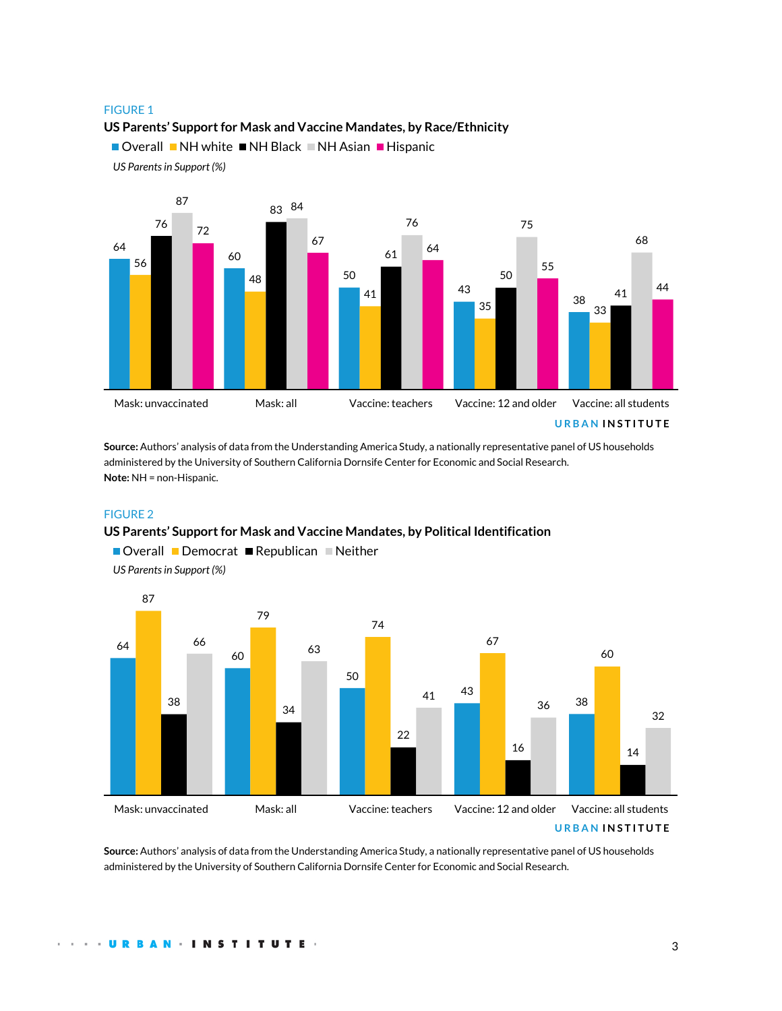#### FIGURE 1

**US Parents' Support for Mask and Vaccine Mandates, by Race/Ethnicity**

Overall NH white NH Black NH Asian Hispanic





**Source:** Authors' analysis of data from the Understanding America Study, a nationally representative panel of US households administered by the University of Southern California Dornsife Center for Economic and Social Research. **Note:** NH = non-Hispanic.

### FIGURE 2

#### **US Parents' Support for Mask and Vaccine Mandates, by Political Identification**



 $\blacksquare$  Overall  $\blacksquare$  Democrat  $\blacksquare$  Republican  $\blacksquare$  Neither

*US Parents in Support (%)*

**Source:** Authors' analysis of data from the Understanding America Study, a nationally representative panel of US households administered by the University of Southern California Dornsife Center for Economic and Social Research.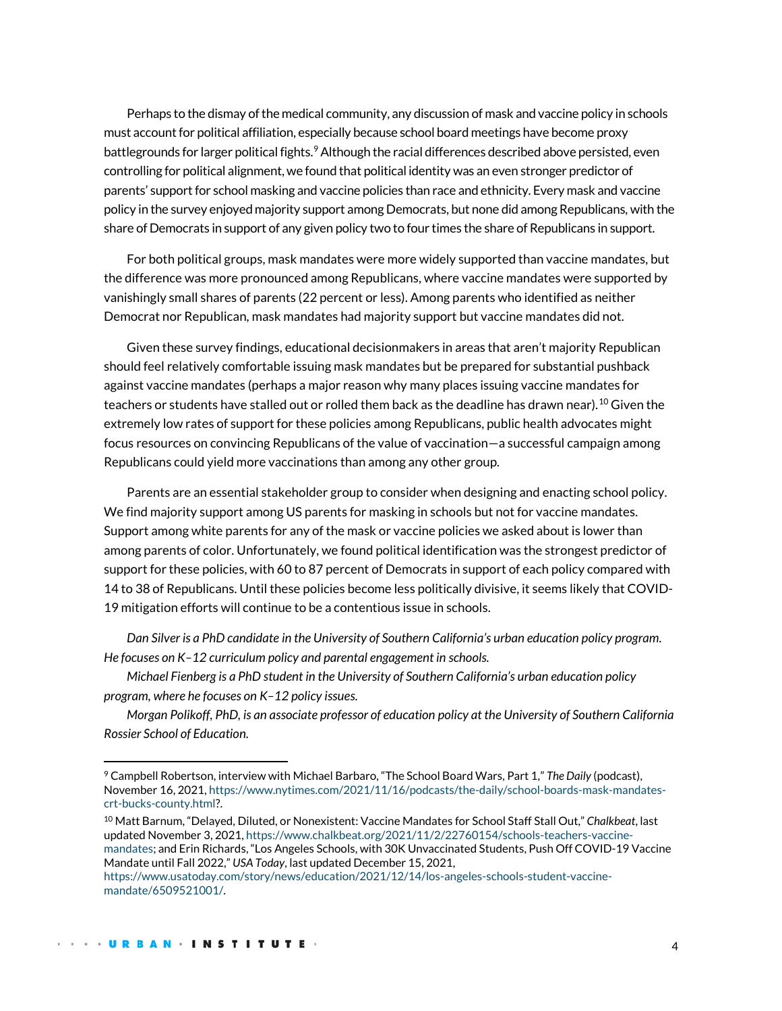Perhaps to the dismay of the medical community, any discussion of mask and vaccine policy in schools must account for political affiliation, especially because school board meetings have become proxy battlegrounds for larger political fights.<sup>[9](#page-3-0)</sup> Although the racial differences described above persisted, even controlling for political alignment, we found that political identity was an even stronger predictor of parents' support for school masking and vaccine policies than race and ethnicity. Every mask and vaccine policy in the survey enjoyed majority support among Democrats, but none did among Republicans, with the share of Democrats in support of any given policy two to four times the share of Republicans in support.

For both political groups, mask mandates were more widely supported than vaccine mandates, but the difference was more pronounced among Republicans, where vaccine mandates were supported by vanishingly small shares of parents (22 percent or less). Among parents who identified as neither Democrat nor Republican, mask mandates had majority support but vaccine mandates did not.

Given these survey findings, educational decisionmakers in areas that aren't majority Republican should feel relatively comfortable issuing mask mandates but be prepared for substantial pushback against vaccine mandates (perhaps a major reason why many places issuing vaccine mandates for teachers or students have stalled out or rolled them back as the deadline has drawn near). $^{10}$  $^{10}$  $^{10}$  Given the extremely low rates of support for these policies among Republicans, public health advocates might focus resources on convincing Republicans of the value of vaccination—a successful campaign among Republicans could yield more vaccinations than among any other group.

Parents are an essential stakeholder group to consider when designing and enacting school policy. We find majority support among US parents for masking in schools but not for vaccine mandates. Support among white parents for any of the mask or vaccine policies we asked about is lower than among parents of color. Unfortunately, we found political identification was the strongest predictor of support for these policies, with 60 to 87 percent of Democrats in support of each policy compared with 14 to 38 of Republicans. Until these policies become less politically divisive, it seems likely that COVID-19 mitigation efforts will continue to be a contentious issue in schools.

*Dan Silver is a PhD candidate in the University of Southern California's urban education policy program. He focuses on K–12 curriculum policy and parental engagement in schools.*

*Michael Fienberg is a PhD student in the University of Southern California's urban education policy program, where he focuses on K–12 policy issues.*

*Morgan Polikoff, PhD, is an associate professor of education policy at the University of Southern California Rossier School of Education.*

<span id="page-3-0"></span><sup>9</sup> Campbell Robertson, interview with Michael Barbaro, "The School Board Wars, Part 1," *The Daily* (podcast), November 16, 2021[, https://www.nytimes.com/2021/11/16/podcasts/the-daily/school-boards-mask-mandates](https://www.nytimes.com/2021/11/16/podcasts/the-daily/school-boards-mask-mandates-crt-bucks-county.html)[crt-bucks-county.html?](https://www.nytimes.com/2021/11/16/podcasts/the-daily/school-boards-mask-mandates-crt-bucks-county.html).

<span id="page-3-1"></span><sup>10</sup> Matt Barnum, "Delayed, Diluted, or Nonexistent: Vaccine Mandates for School Staff Stall Out," *Chalkbeat*, last updated November 3, 2021[, https://www.chalkbeat.org/2021/11/2/22760154/schools-teachers-vaccine](https://www.chalkbeat.org/2021/11/2/22760154/schools-teachers-vaccine-mandates)[mandates;](https://www.chalkbeat.org/2021/11/2/22760154/schools-teachers-vaccine-mandates) and Erin Richards, "Los Angeles Schools, with 30K Unvaccinated Students, Push Off COVID-19 Vaccine Mandate until Fall 2022," *USA Today*, last updated December 15, 2021,

[https://www.usatoday.com/story/news/education/2021/12/14/los-angeles-schools-student-vaccine](https://www.usatoday.com/story/news/education/2021/12/14/los-angeles-schools-student-vaccine-mandate/6509521001/)[mandate/6509521001/.](https://www.usatoday.com/story/news/education/2021/12/14/los-angeles-schools-student-vaccine-mandate/6509521001/)